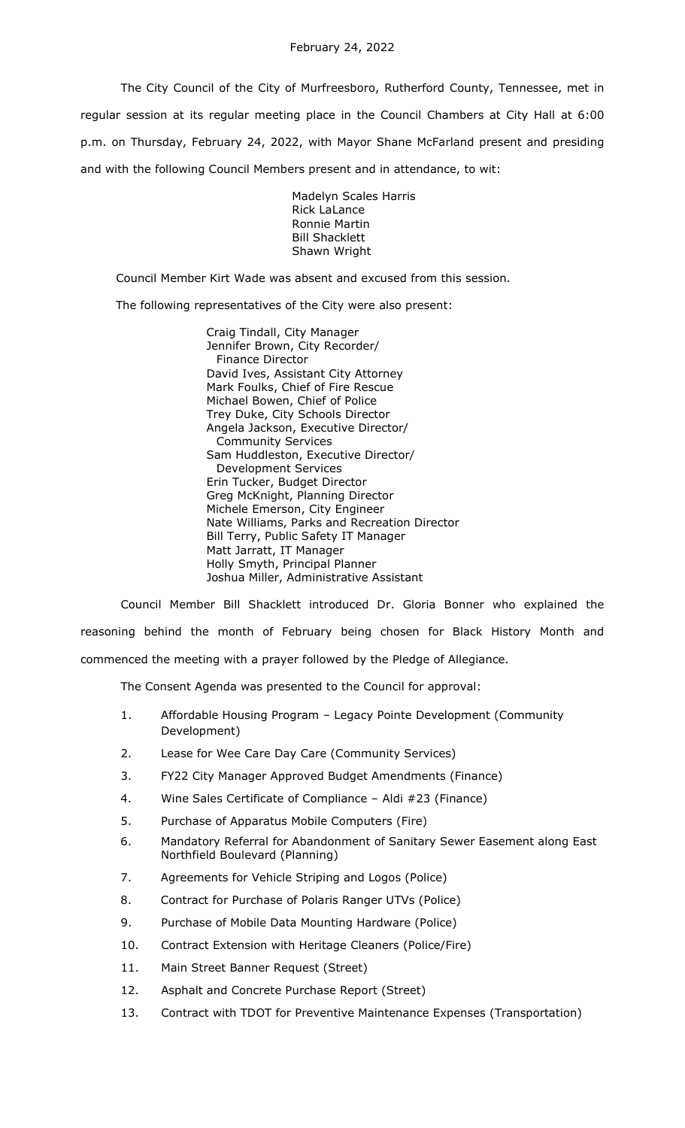The City Council of the City of Murfreesboro, Rutherford County, Tennessee, met in regular session at its regular meeting place in the Council Chambers at City Hall at 6:00 p.m. on Thursday, February 24, 2022, with Mayor Shane McFarland present and presiding and with the following Council Members present and in attendance, to wit:

> Madelyn Scales Harris Rick LaLance Ronnie Martin Bill Shacklett Shawn Wright

Council Member Kirt Wade was absent and excused from this session.

The following representatives of the City were also present:

Craig Tindall, City Manager Jennifer Brown, City Recorder/ Finance Director David Ives, Assistant City Attorney Mark Foulks, Chief of Fire Rescue Michael Bowen, Chief of Police Trey Duke, City Schools Director Angela Jackson, Executive Director/ Community Services Sam Huddleston, Executive Director/ Development Services Erin Tucker, Budget Director Greg McKnight, Planning Director Michele Emerson, City Engineer Nate Williams, Parks and Recreation Director Bill Terry, Public Safety IT Manager Matt Jarratt, IT Manager Holly Smyth, Principal Planner Joshua Miller, Administrative Assistant

Council Member Bill Shacklett introduced Dr. Gloria Bonner who explained the reasoning behind the month of February being chosen for Black History Month and commenced the meeting with a prayer followed by the Pledge of Allegiance.

The Consent Agenda was presented to the Council for approval:

- 1. Affordable Housing Program Legacy Pointe Development (Community Development)
- 2. Lease for Wee Care Day Care (Community Services)
- 3. FY22 City Manager Approved Budget Amendments (Finance)
- 4. Wine Sales Certificate of Compliance Aldi #23 (Finance)
- 5. Purchase of Apparatus Mobile Computers (Fire)
- 6. Mandatory Referral for Abandonment of Sanitary Sewer Easement along East Northfield Boulevard (Planning)
- 7. Agreements for Vehicle Striping and Logos (Police)
- 8. Contract for Purchase of Polaris Ranger UTVs (Police)
- 9. Purchase of Mobile Data Mounting Hardware (Police)
- 10. Contract Extension with Heritage Cleaners (Police/Fire)
- 11. Main Street Banner Request (Street)
- 12. Asphalt and Concrete Purchase Report (Street)
- 13. Contract with TDOT for Preventive Maintenance Expenses (Transportation)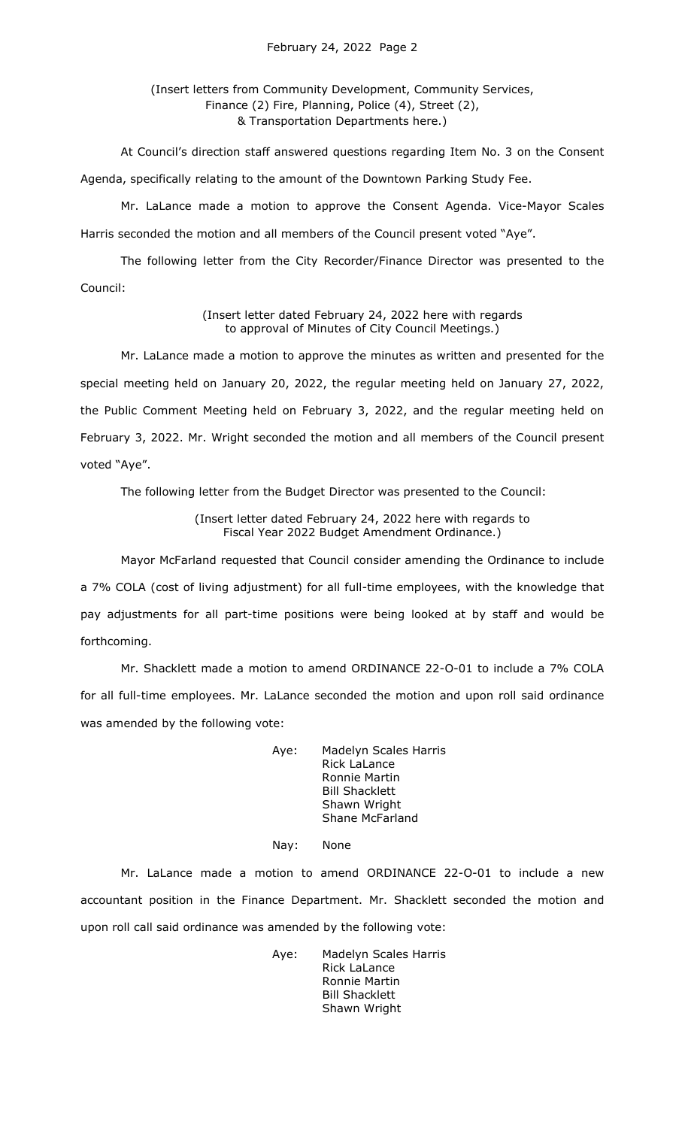# (Insert letters from Community Development, Community Services, Finance (2) Fire, Planning, Police (4), Street (2), & Transportation Departments here.)

At Council's direction staff answered questions regarding Item No. 3 on the Consent Agenda, specifically relating to the amount of the Downtown Parking Study Fee.

Mr. LaLance made a motion to approve the Consent Agenda. Vice-Mayor Scales Harris seconded the motion and all members of the Council present voted "Aye".

The following letter from the City Recorder/Finance Director was presented to the Council:

> (Insert letter dated February 24, 2022 here with regards to approval of Minutes of City Council Meetings.)

Mr. LaLance made a motion to approve the minutes as written and presented for the special meeting held on January 20, 2022, the regular meeting held on January 27, 2022, the Public Comment Meeting held on February 3, 2022, and the regular meeting held on February 3, 2022. Mr. Wright seconded the motion and all members of the Council present voted "Aye".

The following letter from the Budget Director was presented to the Council:

(Insert letter dated February 24, 2022 here with regards to Fiscal Year 2022 Budget Amendment Ordinance.)

Mayor McFarland requested that Council consider amending the Ordinance to include a 7% COLA (cost of living adjustment) for all full-time employees, with the knowledge that pay adjustments for all part-time positions were being looked at by staff and would be forthcoming.

Mr. Shacklett made a motion to amend ORDINANCE 22-O-01 to include a 7% COLA for all full-time employees. Mr. LaLance seconded the motion and upon roll said ordinance was amended by the following vote:

> Aye: Madelyn Scales Harris Rick LaLance Ronnie Martin Bill Shacklett Shawn Wright Shane McFarland

### Nay: None

Mr. LaLance made a motion to amend ORDINANCE 22-O-01 to include a new accountant position in the Finance Department. Mr. Shacklett seconded the motion and upon roll call said ordinance was amended by the following vote:

> Aye: Madelyn Scales Harris Rick LaLance Ronnie Martin Bill Shacklett Shawn Wright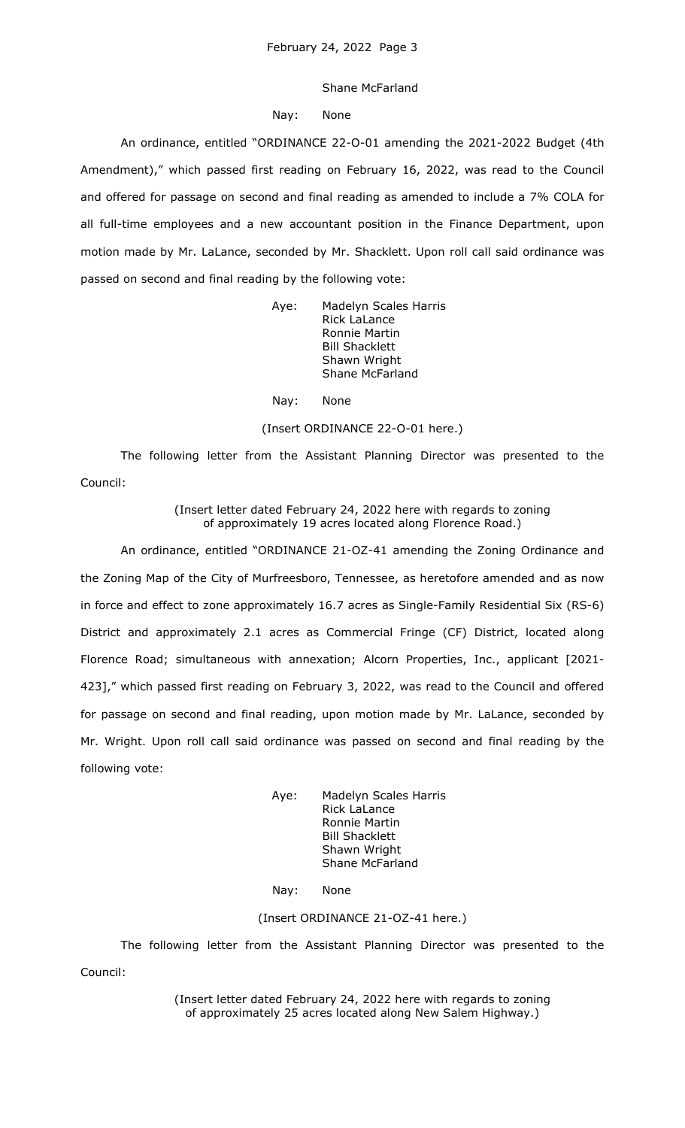#### Shane McFarland

### Nay: None

An ordinance, entitled "ORDINANCE 22-O-01 amending the 2021-2022 Budget (4th Amendment)," which passed first reading on February 16, 2022, was read to the Council and offered for passage on second and final reading as amended to include a 7% COLA for all full-time employees and a new accountant position in the Finance Department, upon motion made by Mr. LaLance, seconded by Mr. Shacklett. Upon roll call said ordinance was passed on second and final reading by the following vote:

> Aye: Madelyn Scales Harris Rick LaLance Ronnie Martin Bill Shacklett Shawn Wright Shane McFarland

Nay: None

(Insert ORDINANCE 22-O-01 here.)

The following letter from the Assistant Planning Director was presented to the Council:

> (Insert letter dated February 24, 2022 here with regards to zoning of approximately 19 acres located along Florence Road.)

An ordinance, entitled "ORDINANCE 21-OZ-41 amending the Zoning Ordinance and the Zoning Map of the City of Murfreesboro, Tennessee, as heretofore amended and as now in force and effect to zone approximately 16.7 acres as Single-Family Residential Six (RS-6) District and approximately 2.1 acres as Commercial Fringe (CF) District, located along Florence Road; simultaneous with annexation; Alcorn Properties, Inc., applicant [2021- 423]," which passed first reading on February 3, 2022, was read to the Council and offered for passage on second and final reading, upon motion made by Mr. LaLance, seconded by Mr. Wright. Upon roll call said ordinance was passed on second and final reading by the following vote:

> Aye: Madelyn Scales Harris Rick LaLance Ronnie Martin Bill Shacklett Shawn Wright Shane McFarland

Nay: None

# (Insert ORDINANCE 21-OZ-41 here.)

The following letter from the Assistant Planning Director was presented to the Council:

> (Insert letter dated February 24, 2022 here with regards to zoning of approximately 25 acres located along New Salem Highway.)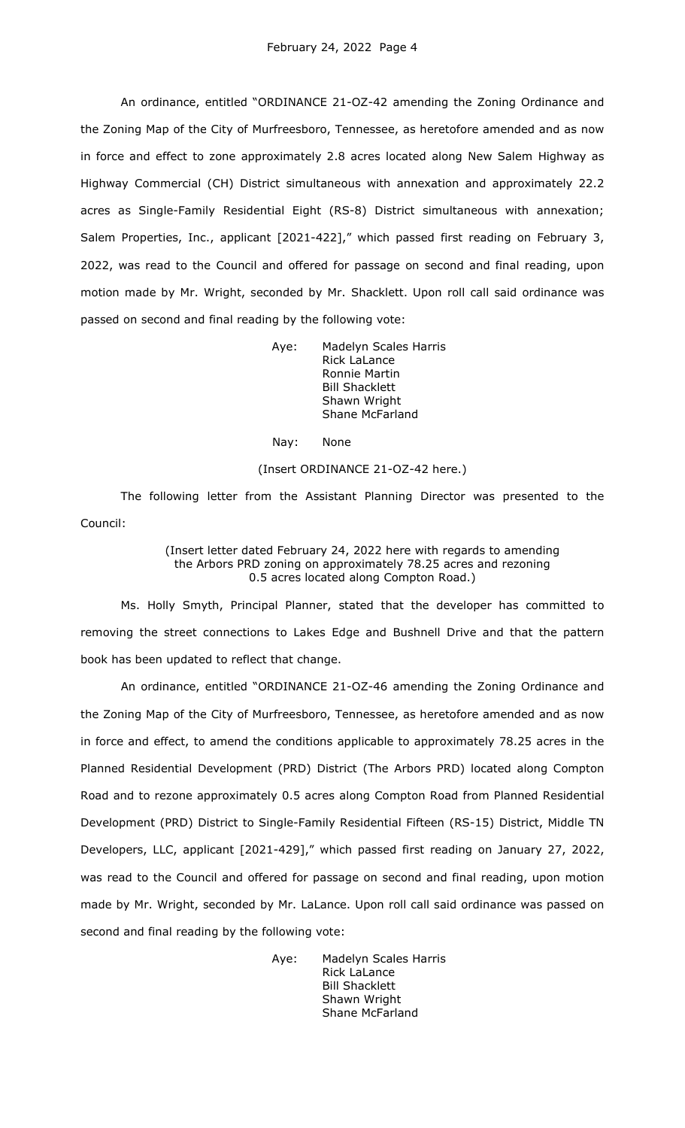An ordinance, entitled "ORDINANCE 21-OZ-42 amending the Zoning Ordinance and the Zoning Map of the City of Murfreesboro, Tennessee, as heretofore amended and as now in force and effect to zone approximately 2.8 acres located along New Salem Highway as Highway Commercial (CH) District simultaneous with annexation and approximately 22.2 acres as Single-Family Residential Eight (RS-8) District simultaneous with annexation; Salem Properties, Inc., applicant [2021-422]," which passed first reading on February 3, 2022, was read to the Council and offered for passage on second and final reading, upon motion made by Mr. Wright, seconded by Mr. Shacklett. Upon roll call said ordinance was passed on second and final reading by the following vote:

> Aye: Madelyn Scales Harris Rick LaLance Ronnie Martin Bill Shacklett Shawn Wright Shane McFarland

Nay: None

#### (Insert ORDINANCE 21-OZ-42 here.)

The following letter from the Assistant Planning Director was presented to the Council:

# (Insert letter dated February 24, 2022 here with regards to amending the Arbors PRD zoning on approximately 78.25 acres and rezoning 0.5 acres located along Compton Road.)

Ms. Holly Smyth, Principal Planner, stated that the developer has committed to removing the street connections to Lakes Edge and Bushnell Drive and that the pattern book has been updated to reflect that change.

An ordinance, entitled "ORDINANCE 21-OZ-46 amending the Zoning Ordinance and the Zoning Map of the City of Murfreesboro, Tennessee, as heretofore amended and as now in force and effect, to amend the conditions applicable to approximately 78.25 acres in the Planned Residential Development (PRD) District (The Arbors PRD) located along Compton Road and to rezone approximately 0.5 acres along Compton Road from Planned Residential Development (PRD) District to Single-Family Residential Fifteen (RS-15) District, Middle TN Developers, LLC, applicant [2021-429]," which passed first reading on January 27, 2022, was read to the Council and offered for passage on second and final reading, upon motion made by Mr. Wright, seconded by Mr. LaLance. Upon roll call said ordinance was passed on second and final reading by the following vote:

> Aye: Madelyn Scales Harris Rick LaLance Bill Shacklett Shawn Wright Shane McFarland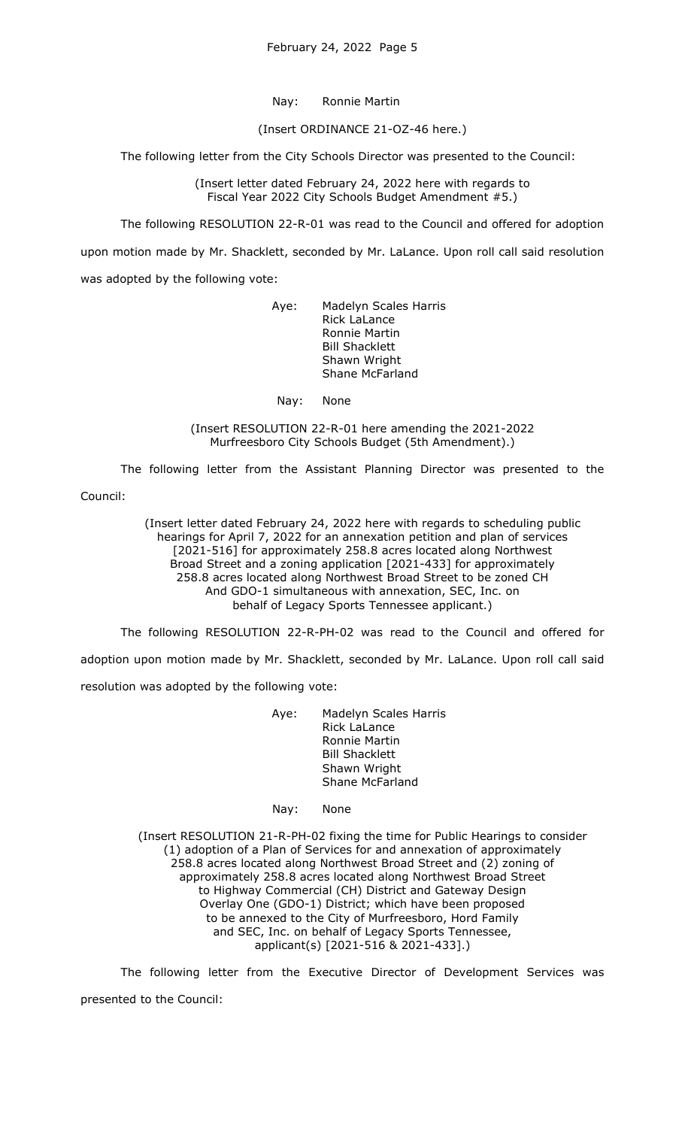Nay: Ronnie Martin

(Insert ORDINANCE 21-OZ-46 here.)

The following letter from the City Schools Director was presented to the Council:

(Insert letter dated February 24, 2022 here with regards to Fiscal Year 2022 City Schools Budget Amendment #5.)

The following RESOLUTION 22-R-01 was read to the Council and offered for adoption

upon motion made by Mr. Shacklett, seconded by Mr. LaLance. Upon roll call said resolution was adopted by the following vote:

> Aye: Madelyn Scales Harris Rick LaLance Ronnie Martin Bill Shacklett Shawn Wright Shane McFarland

Nay: None

(Insert RESOLUTION 22-R-01 here amending the 2021-2022 Murfreesboro City Schools Budget (5th Amendment).)

The following letter from the Assistant Planning Director was presented to the

Council:

(Insert letter dated February 24, 2022 here with regards to scheduling public hearings for April 7, 2022 for an annexation petition and plan of services [2021-516] for approximately 258.8 acres located along Northwest Broad Street and a zoning application [2021-433] for approximately 258.8 acres located along Northwest Broad Street to be zoned CH And GDO-1 simultaneous with annexation, SEC, Inc. on behalf of Legacy Sports Tennessee applicant.)

The following RESOLUTION 22-R-PH-02 was read to the Council and offered for

adoption upon motion made by Mr. Shacklett, seconded by Mr. LaLance. Upon roll call said resolution was adopted by the following vote:

> Aye: Madelyn Scales Harris Rick LaLance Ronnie Martin Bill Shacklett Shawn Wright Shane McFarland

Nay: None

(Insert RESOLUTION 21-R-PH-02 fixing the time for Public Hearings to consider (1) adoption of a Plan of Services for and annexation of approximately 258.8 acres located along Northwest Broad Street and (2) zoning of approximately 258.8 acres located along Northwest Broad Street to Highway Commercial (CH) District and Gateway Design Overlay One (GDO-1) District; which have been proposed to be annexed to the City of Murfreesboro, Hord Family and SEC, Inc. on behalf of Legacy Sports Tennessee, applicant(s) [2021-516 & 2021-433].)

The following letter from the Executive Director of Development Services was presented to the Council: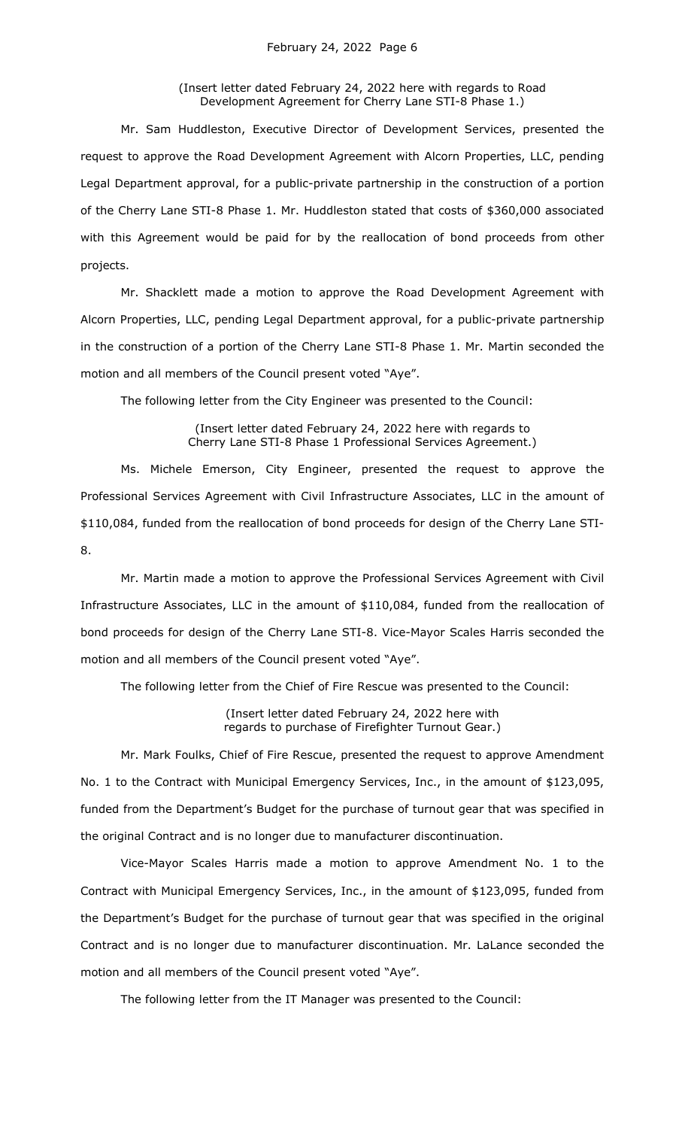(Insert letter dated February 24, 2022 here with regards to Road Development Agreement for Cherry Lane STI-8 Phase 1.)

Mr. Sam Huddleston, Executive Director of Development Services, presented the request to approve the Road Development Agreement with Alcorn Properties, LLC, pending Legal Department approval, for a public-private partnership in the construction of a portion of the Cherry Lane STI-8 Phase 1. Mr. Huddleston stated that costs of \$360,000 associated with this Agreement would be paid for by the reallocation of bond proceeds from other projects.

Mr. Shacklett made a motion to approve the Road Development Agreement with Alcorn Properties, LLC, pending Legal Department approval, for a public-private partnership in the construction of a portion of the Cherry Lane STI-8 Phase 1. Mr. Martin seconded the motion and all members of the Council present voted "Aye".

The following letter from the City Engineer was presented to the Council:

(Insert letter dated February 24, 2022 here with regards to Cherry Lane STI-8 Phase 1 Professional Services Agreement.)

Ms. Michele Emerson, City Engineer, presented the request to approve the Professional Services Agreement with Civil Infrastructure Associates, LLC in the amount of \$110,084, funded from the reallocation of bond proceeds for design of the Cherry Lane STI-8.

Mr. Martin made a motion to approve the Professional Services Agreement with Civil Infrastructure Associates, LLC in the amount of \$110,084, funded from the reallocation of bond proceeds for design of the Cherry Lane STI-8. Vice-Mayor Scales Harris seconded the motion and all members of the Council present voted "Aye".

The following letter from the Chief of Fire Rescue was presented to the Council:

(Insert letter dated February 24, 2022 here with regards to purchase of Firefighter Turnout Gear.)

Mr. Mark Foulks, Chief of Fire Rescue, presented the request to approve Amendment No. 1 to the Contract with Municipal Emergency Services, Inc., in the amount of \$123,095, funded from the Department's Budget for the purchase of turnout gear that was specified in the original Contract and is no longer due to manufacturer discontinuation.

Vice-Mayor Scales Harris made a motion to approve Amendment No. 1 to the Contract with Municipal Emergency Services, Inc., in the amount of \$123,095, funded from the Department's Budget for the purchase of turnout gear that was specified in the original Contract and is no longer due to manufacturer discontinuation. Mr. LaLance seconded the motion and all members of the Council present voted "Aye".

The following letter from the IT Manager was presented to the Council: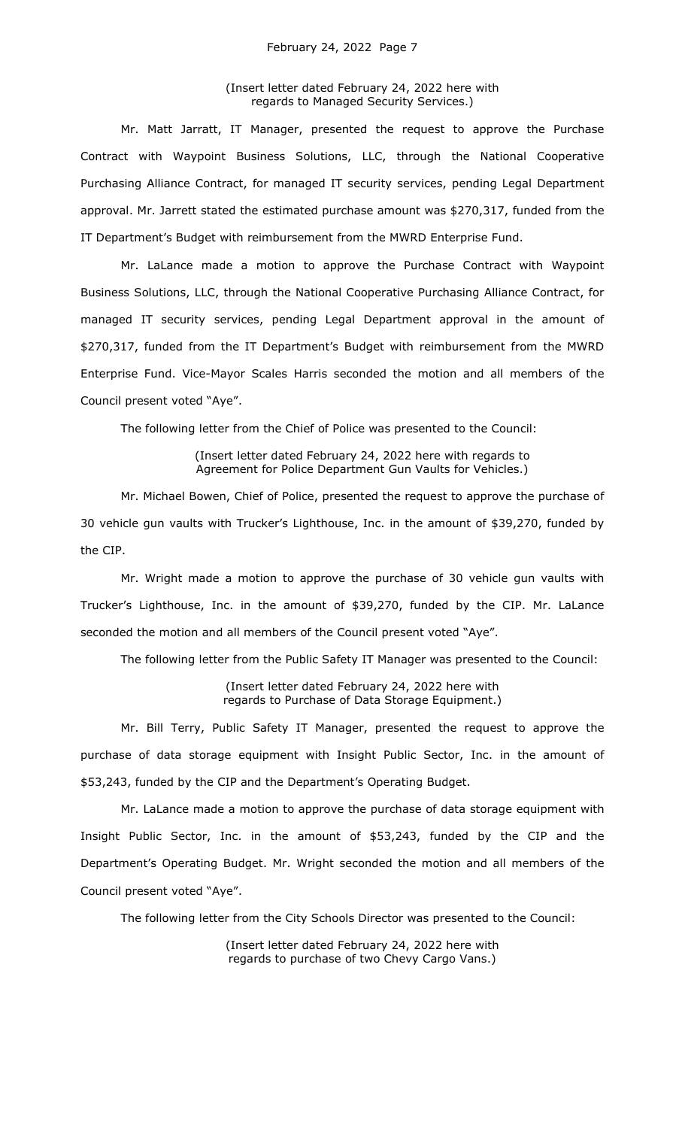(Insert letter dated February 24, 2022 here with regards to Managed Security Services.)

Mr. Matt Jarratt, IT Manager, presented the request to approve the Purchase Contract with Waypoint Business Solutions, LLC, through the National Cooperative Purchasing Alliance Contract, for managed IT security services, pending Legal Department approval. Mr. Jarrett stated the estimated purchase amount was \$270,317, funded from the IT Department's Budget with reimbursement from the MWRD Enterprise Fund.

Mr. LaLance made a motion to approve the Purchase Contract with Waypoint Business Solutions, LLC, through the National Cooperative Purchasing Alliance Contract, for managed IT security services, pending Legal Department approval in the amount of \$270,317, funded from the IT Department's Budget with reimbursement from the MWRD Enterprise Fund. Vice-Mayor Scales Harris seconded the motion and all members of the Council present voted "Aye".

The following letter from the Chief of Police was presented to the Council:

(Insert letter dated February 24, 2022 here with regards to Agreement for Police Department Gun Vaults for Vehicles.)

Mr. Michael Bowen, Chief of Police, presented the request to approve the purchase of 30 vehicle gun vaults with Trucker's Lighthouse, Inc. in the amount of \$39,270, funded by the CIP.

Mr. Wright made a motion to approve the purchase of 30 vehicle gun vaults with Trucker's Lighthouse, Inc. in the amount of \$39,270, funded by the CIP. Mr. LaLance seconded the motion and all members of the Council present voted "Aye".

The following letter from the Public Safety IT Manager was presented to the Council:

(Insert letter dated February 24, 2022 here with regards to Purchase of Data Storage Equipment.)

Mr. Bill Terry, Public Safety IT Manager, presented the request to approve the purchase of data storage equipment with Insight Public Sector, Inc. in the amount of \$53,243, funded by the CIP and the Department's Operating Budget.

Mr. LaLance made a motion to approve the purchase of data storage equipment with Insight Public Sector, Inc. in the amount of \$53,243, funded by the CIP and the Department's Operating Budget. Mr. Wright seconded the motion and all members of the Council present voted "Aye".

The following letter from the City Schools Director was presented to the Council:

(Insert letter dated February 24, 2022 here with regards to purchase of two Chevy Cargo Vans.)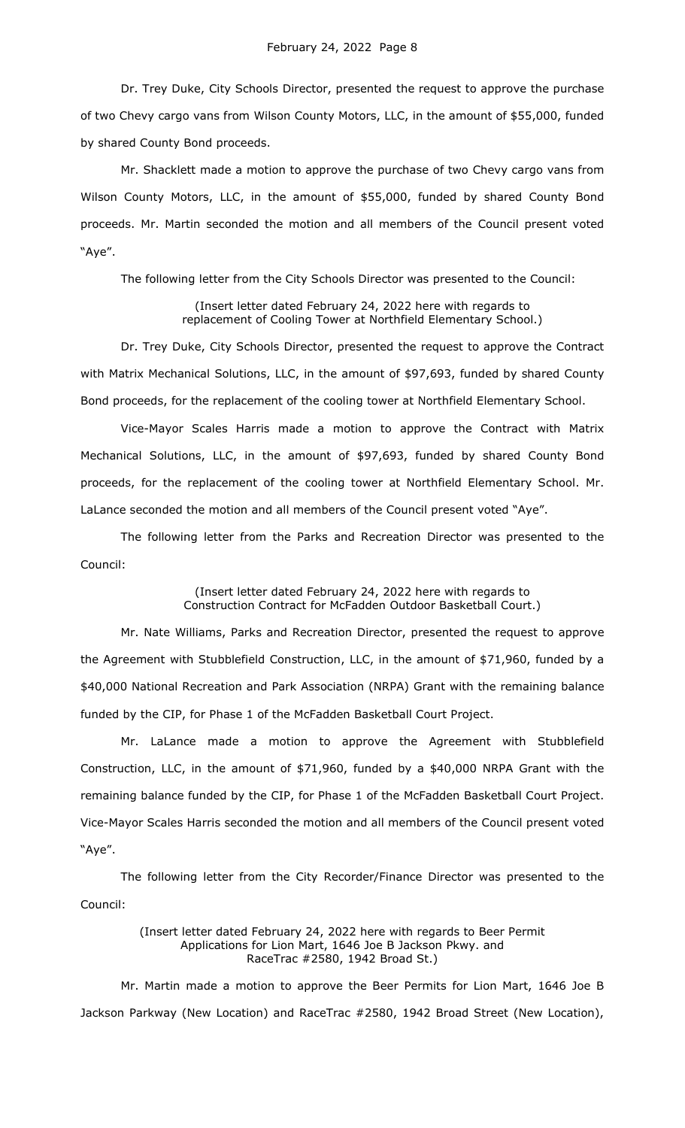Dr. Trey Duke, City Schools Director, presented the request to approve the purchase of two Chevy cargo vans from Wilson County Motors, LLC, in the amount of \$55,000, funded by shared County Bond proceeds.

Mr. Shacklett made a motion to approve the purchase of two Chevy cargo vans from Wilson County Motors, LLC, in the amount of \$55,000, funded by shared County Bond proceeds. Mr. Martin seconded the motion and all members of the Council present voted "Aye".

The following letter from the City Schools Director was presented to the Council:

(Insert letter dated February 24, 2022 here with regards to replacement of Cooling Tower at Northfield Elementary School.)

Dr. Trey Duke, City Schools Director, presented the request to approve the Contract with Matrix Mechanical Solutions, LLC, in the amount of \$97,693, funded by shared County Bond proceeds, for the replacement of the cooling tower at Northfield Elementary School.

Vice-Mayor Scales Harris made a motion to approve the Contract with Matrix Mechanical Solutions, LLC, in the amount of \$97,693, funded by shared County Bond proceeds, for the replacement of the cooling tower at Northfield Elementary School. Mr. LaLance seconded the motion and all members of the Council present voted "Aye".

The following letter from the Parks and Recreation Director was presented to the Council:

> (Insert letter dated February 24, 2022 here with regards to Construction Contract for McFadden Outdoor Basketball Court.)

Mr. Nate Williams, Parks and Recreation Director, presented the request to approve the Agreement with Stubblefield Construction, LLC, in the amount of \$71,960, funded by a \$40,000 National Recreation and Park Association (NRPA) Grant with the remaining balance funded by the CIP, for Phase 1 of the McFadden Basketball Court Project.

Mr. LaLance made a motion to approve the Agreement with Stubblefield Construction, LLC, in the amount of \$71,960, funded by a \$40,000 NRPA Grant with the remaining balance funded by the CIP, for Phase 1 of the McFadden Basketball Court Project. Vice-Mayor Scales Harris seconded the motion and all members of the Council present voted "Aye".

The following letter from the City Recorder/Finance Director was presented to the Council:

> (Insert letter dated February 24, 2022 here with regards to Beer Permit Applications for Lion Mart, 1646 Joe B Jackson Pkwy. and RaceTrac #2580, 1942 Broad St.)

Mr. Martin made a motion to approve the Beer Permits for Lion Mart, 1646 Joe B Jackson Parkway (New Location) and RaceTrac #2580, 1942 Broad Street (New Location),